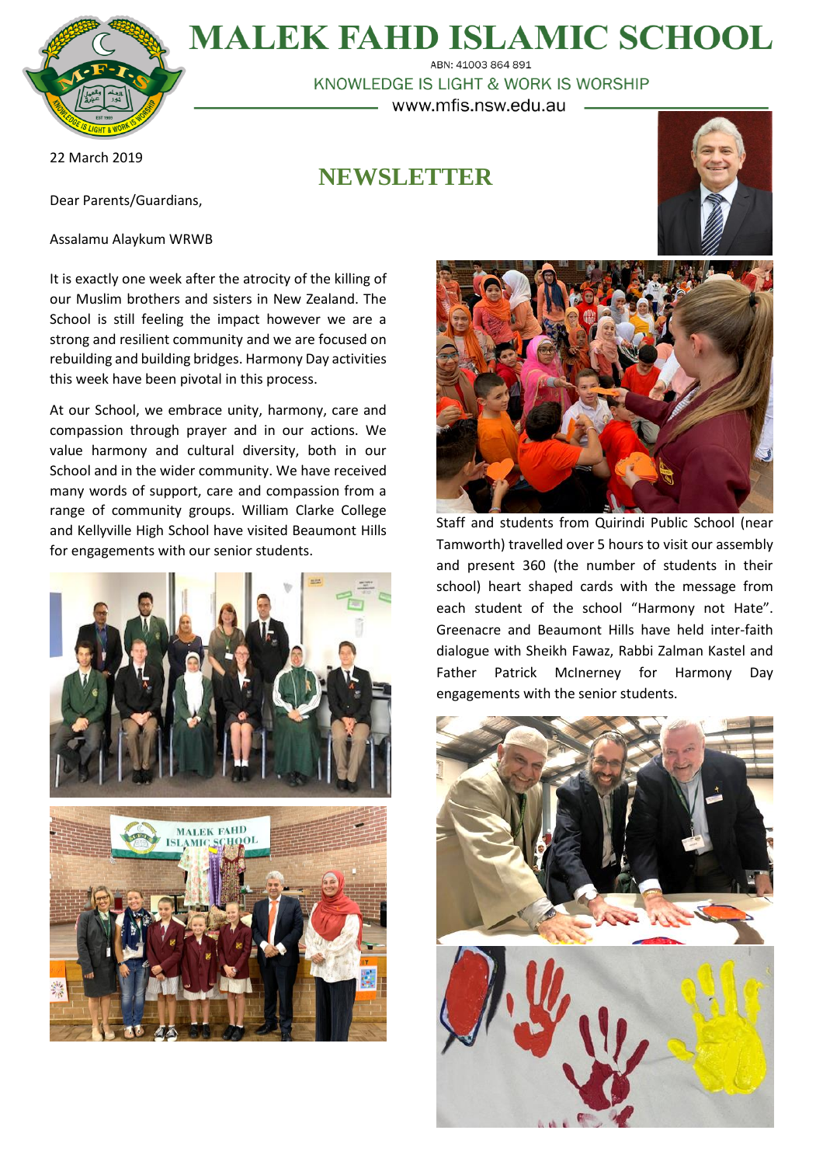

**MALEK FAHD ISLAMIC SCHOOL** ABN: 41003 864 891

KNOWLEDGE IS LIGHT & WORK IS WORSHIP www.mfis.nsw.edu.au

22 March 2019

Dear Parents/Guardians,

Assalamu Alaykum WRWB

# **NEWSLETTER**



It is exactly one week after the atrocity of the killing of our Muslim brothers and sisters in New Zealand. The School is still feeling the impact however we are a strong and resilient community and we are focused on rebuilding and building bridges. Harmony Day activities this week have been pivotal in this process.

At our School, we embrace unity, harmony, care and compassion through prayer and in our actions. We value harmony and cultural diversity, both in our School and in the wider community. We have received many words of support, care and compassion from a range of community groups. William Clarke College and Kellyville High School have visited Beaumont Hills for engagements with our senior students.







Staff and students from Quirindi Public School (near Tamworth) travelled over 5 hours to visit our assembly and present 360 (the number of students in their school) heart shaped cards with the message from each student of the school "Harmony not Hate". Greenacre and Beaumont Hills have held inter-faith dialogue with Sheikh Fawaz, Rabbi Zalman Kastel and Father Patrick McInerney for Harmony Day engagements with the senior students.